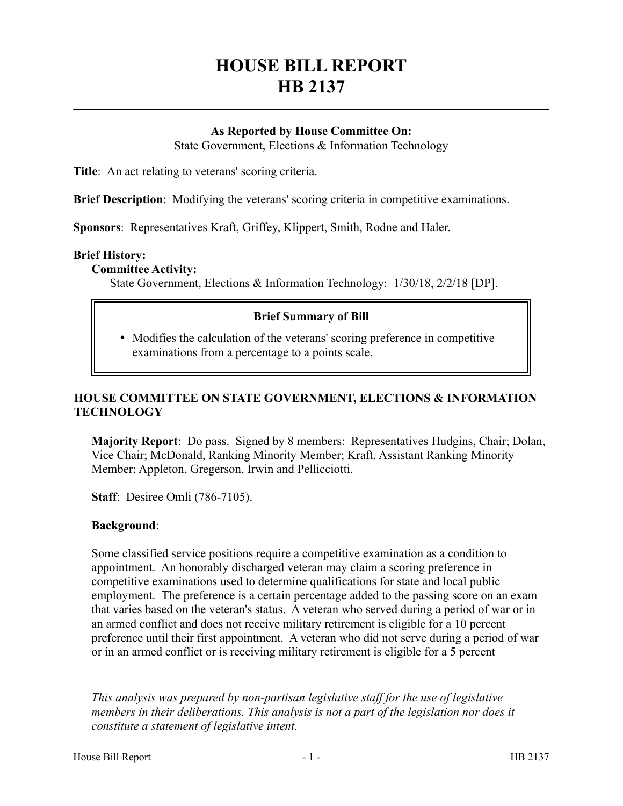# **HOUSE BILL REPORT HB 2137**

## **As Reported by House Committee On:**

State Government, Elections & Information Technology

**Title**: An act relating to veterans' scoring criteria.

**Brief Description**: Modifying the veterans' scoring criteria in competitive examinations.

**Sponsors**: Representatives Kraft, Griffey, Klippert, Smith, Rodne and Haler.

#### **Brief History:**

#### **Committee Activity:**

State Government, Elections & Information Technology: 1/30/18, 2/2/18 [DP].

## **Brief Summary of Bill**

 Modifies the calculation of the veterans' scoring preference in competitive examinations from a percentage to a points scale.

## **HOUSE COMMITTEE ON STATE GOVERNMENT, ELECTIONS & INFORMATION TECHNOLOGY**

**Majority Report**: Do pass. Signed by 8 members: Representatives Hudgins, Chair; Dolan, Vice Chair; McDonald, Ranking Minority Member; Kraft, Assistant Ranking Minority Member; Appleton, Gregerson, Irwin and Pellicciotti.

**Staff**: Desiree Omli (786-7105).

#### **Background**:

Some classified service positions require a competitive examination as a condition to appointment. An honorably discharged veteran may claim a scoring preference in competitive examinations used to determine qualifications for state and local public employment. The preference is a certain percentage added to the passing score on an exam that varies based on the veteran's status. A veteran who served during a period of war or in an armed conflict and does not receive military retirement is eligible for a 10 percent preference until their first appointment. A veteran who did not serve during a period of war or in an armed conflict or is receiving military retirement is eligible for a 5 percent

––––––––––––––––––––––

*This analysis was prepared by non-partisan legislative staff for the use of legislative members in their deliberations. This analysis is not a part of the legislation nor does it constitute a statement of legislative intent.*